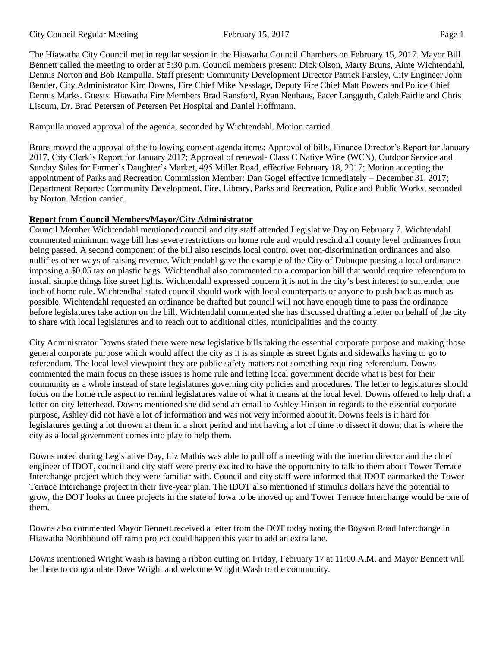The Hiawatha City Council met in regular session in the Hiawatha Council Chambers on February 15, 2017. Mayor Bill Bennett called the meeting to order at 5:30 p.m. Council members present: Dick Olson, Marty Bruns, Aime Wichtendahl, Dennis Norton and Bob Rampulla. Staff present: Community Development Director Patrick Parsley, City Engineer John Bender, City Administrator Kim Downs, Fire Chief Mike Nesslage, Deputy Fire Chief Matt Powers and Police Chief Dennis Marks. Guests: Hiawatha Fire Members Brad Ransford, Ryan Neuhaus, Pacer Langguth, Caleb Fairlie and Chris Liscum, Dr. Brad Petersen of Petersen Pet Hospital and Daniel Hoffmann.

Rampulla moved approval of the agenda, seconded by Wichtendahl. Motion carried.

Bruns moved the approval of the following consent agenda items: Approval of bills, Finance Director's Report for January 2017, City Clerk's Report for January 2017; Approval of renewal- Class C Native Wine (WCN), Outdoor Service and Sunday Sales for Farmer's Daughter's Market, 495 Miller Road, effective February 18, 2017; Motion accepting the appointment of Parks and Recreation Commission Member: Dan Gogel effective immediately – December 31, 2017; Department Reports: Community Development, Fire, Library, Parks and Recreation, Police and Public Works, seconded by Norton. Motion carried.

# **Report from Council Members/Mayor/City Administrator**

Council Member Wichtendahl mentioned council and city staff attended Legislative Day on February 7. Wichtendahl commented minimum wage bill has severe restrictions on home rule and would rescind all county level ordinances from being passed. A second component of the bill also rescinds local control over non-discrimination ordinances and also nullifies other ways of raising revenue. Wichtendahl gave the example of the City of Dubuque passing a local ordinance imposing a \$0.05 tax on plastic bags. Wichtendhal also commented on a companion bill that would require referendum to install simple things like street lights. Wichtendahl expressed concern it is not in the city's best interest to surrender one inch of home rule. Wichtendhal stated council should work with local counterparts or anyone to push back as much as possible. Wichtendahl requested an ordinance be drafted but council will not have enough time to pass the ordinance before legislatures take action on the bill. Wichtendahl commented she has discussed drafting a letter on behalf of the city to share with local legislatures and to reach out to additional cities, municipalities and the county.

City Administrator Downs stated there were new legislative bills taking the essential corporate purpose and making those general corporate purpose which would affect the city as it is as simple as street lights and sidewalks having to go to referendum. The local level viewpoint they are public safety matters not something requiring referendum. Downs commented the main focus on these issues is home rule and letting local government decide what is best for their community as a whole instead of state legislatures governing city policies and procedures. The letter to legislatures should focus on the home rule aspect to remind legislatures value of what it means at the local level. Downs offered to help draft a letter on city letterhead. Downs mentioned she did send an email to Ashley Hinson in regards to the essential corporate purpose, Ashley did not have a lot of information and was not very informed about it. Downs feels is it hard for legislatures getting a lot thrown at them in a short period and not having a lot of time to dissect it down; that is where the city as a local government comes into play to help them.

Downs noted during Legislative Day, Liz Mathis was able to pull off a meeting with the interim director and the chief engineer of IDOT, council and city staff were pretty excited to have the opportunity to talk to them about Tower Terrace Interchange project which they were familiar with. Council and city staff were informed that IDOT earmarked the Tower Terrace Interchange project in their five-year plan. The IDOT also mentioned if stimulus dollars have the potential to grow, the DOT looks at three projects in the state of Iowa to be moved up and Tower Terrace Interchange would be one of them.

Downs also commented Mayor Bennett received a letter from the DOT today noting the Boyson Road Interchange in Hiawatha Northbound off ramp project could happen this year to add an extra lane.

Downs mentioned Wright Wash is having a ribbon cutting on Friday, February 17 at 11:00 A.M. and Mayor Bennett will be there to congratulate Dave Wright and welcome Wright Wash to the community.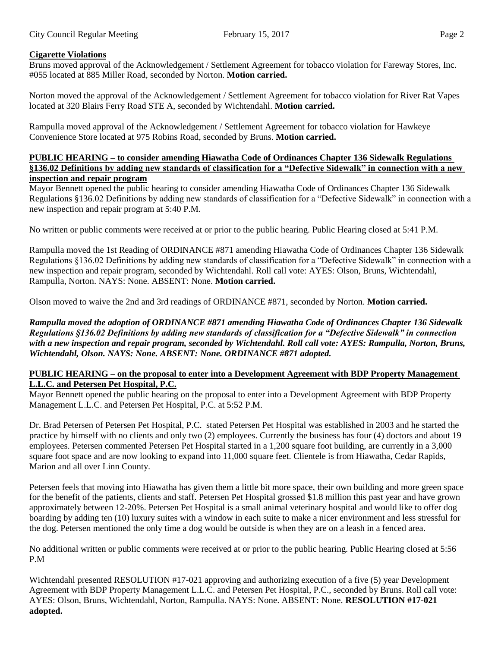# **Cigarette Violations**

Bruns moved approval of the Acknowledgement / Settlement Agreement for tobacco violation for Fareway Stores, Inc. #055 located at 885 Miller Road, seconded by Norton. **Motion carried.**

Norton moved the approval of the Acknowledgement / Settlement Agreement for tobacco violation for River Rat Vapes located at 320 Blairs Ferry Road STE A, seconded by Wichtendahl. **Motion carried.**

Rampulla moved approval of the Acknowledgement / Settlement Agreement for tobacco violation for Hawkeye Convenience Store located at 975 Robins Road, seconded by Bruns. **Motion carried.**

### **PUBLIC HEARING – to consider amending Hiawatha Code of Ordinances Chapter 136 Sidewalk Regulations §136.02 Definitions by adding new standards of classification for a "Defective Sidewalk" in connection with a new inspection and repair program**

Mayor Bennett opened the public hearing to consider amending Hiawatha Code of Ordinances Chapter 136 Sidewalk Regulations §136.02 Definitions by adding new standards of classification for a "Defective Sidewalk" in connection with a new inspection and repair program at 5:40 P.M.

No written or public comments were received at or prior to the public hearing. Public Hearing closed at 5:41 P.M.

Rampulla moved the 1st Reading of ORDINANCE #871 amending Hiawatha Code of Ordinances Chapter 136 Sidewalk Regulations §136.02 Definitions by adding new standards of classification for a "Defective Sidewalk" in connection with a new inspection and repair program, seconded by Wichtendahl. Roll call vote: AYES: Olson, Bruns, Wichtendahl, Rampulla, Norton. NAYS: None. ABSENT: None. **Motion carried.** 

Olson moved to waive the 2nd and 3rd readings of ORDINANCE #871, seconded by Norton. **Motion carried.**

*Rampulla moved the adoption of ORDINANCE #871 amending Hiawatha Code of Ordinances Chapter 136 Sidewalk Regulations §136.02 Definitions by adding new standards of classification for a "Defective Sidewalk" in connection with a new inspection and repair program, seconded by Wichtendahl. Roll call vote: AYES: Rampulla, Norton, Bruns, Wichtendahl, Olson. NAYS: None. ABSENT: None. ORDINANCE #871 adopted.* 

### **PUBLIC HEARING – on the proposal to enter into a Development Agreement with BDP Property Management L.L.C. and Petersen Pet Hospital, P.C.**

Mayor Bennett opened the public hearing on the proposal to enter into a Development Agreement with BDP Property Management L.L.C. and Petersen Pet Hospital, P.C. at 5:52 P.M.

Dr. Brad Petersen of Petersen Pet Hospital, P.C. stated Petersen Pet Hospital was established in 2003 and he started the practice by himself with no clients and only two (2) employees. Currently the business has four (4) doctors and about 19 employees. Petersen commented Petersen Pet Hospital started in a 1,200 square foot building, are currently in a 3,000 square foot space and are now looking to expand into 11,000 square feet. Clientele is from Hiawatha, Cedar Rapids, Marion and all over Linn County.

Petersen feels that moving into Hiawatha has given them a little bit more space, their own building and more green space for the benefit of the patients, clients and staff. Petersen Pet Hospital grossed \$1.8 million this past year and have grown approximately between 12-20%. Petersen Pet Hospital is a small animal veterinary hospital and would like to offer dog boarding by adding ten (10) luxury suites with a window in each suite to make a nicer environment and less stressful for the dog. Petersen mentioned the only time a dog would be outside is when they are on a leash in a fenced area.

No additional written or public comments were received at or prior to the public hearing. Public Hearing closed at 5:56 P.M

Wichtendahl presented RESOLUTION #17-021 approving and authorizing execution of a five (5) year Development Agreement with BDP Property Management L.L.C. and Petersen Pet Hospital, P.C., seconded by Bruns. Roll call vote: AYES: Olson, Bruns, Wichtendahl, Norton, Rampulla. NAYS: None. ABSENT: None. **RESOLUTION #17-021 adopted.**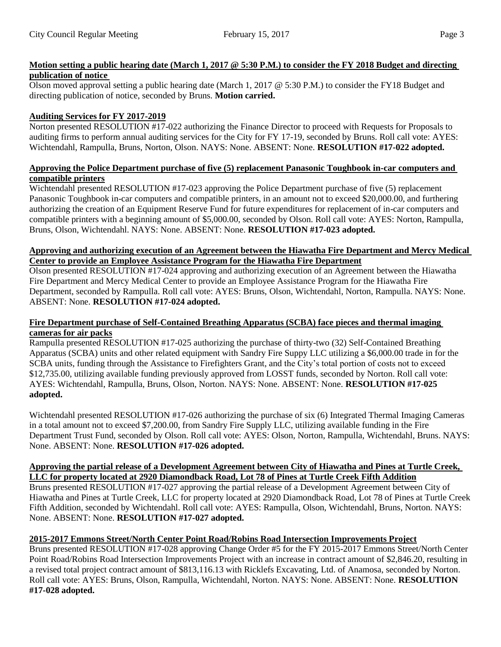### **Motion setting a public hearing date (March 1, 2017 @ 5:30 P.M.) to consider the FY 2018 Budget and directing publication of notice**

Olson moved approval setting a public hearing date (March 1, 2017 @ 5:30 P.M.) to consider the FY18 Budget and directing publication of notice, seconded by Bruns. **Motion carried.** 

### **Auditing Services for FY 2017-2019**

Norton presented RESOLUTION #17-022 authorizing the Finance Director to proceed with Requests for Proposals to auditing firms to perform annual auditing services for the City for FY 17-19, seconded by Bruns. Roll call vote: AYES: Wichtendahl, Rampulla, Bruns, Norton, Olson. NAYS: None. ABSENT: None. **RESOLUTION #17-022 adopted.** 

### **Approving the Police Department purchase of five (5) replacement Panasonic Toughbook in-car computers and compatible printers**

Wichtendahl presented RESOLUTION #17-023 approving the Police Department purchase of five (5) replacement Panasonic Toughbook in-car computers and compatible printers, in an amount not to exceed \$20,000.00, and furthering authorizing the creation of an Equipment Reserve Fund for future expenditures for replacement of in-car computers and compatible printers with a beginning amount of \$5,000.00, seconded by Olson. Roll call vote: AYES: Norton, Rampulla, Bruns, Olson, Wichtendahl. NAYS: None. ABSENT: None. **RESOLUTION #17-023 adopted.** 

### **Approving and authorizing execution of an Agreement between the Hiawatha Fire Department and Mercy Medical Center to provide an Employee Assistance Program for the Hiawatha Fire Department**

Olson presented RESOLUTION #17-024 approving and authorizing execution of an Agreement between the Hiawatha Fire Department and Mercy Medical Center to provide an Employee Assistance Program for the Hiawatha Fire Department, seconded by Rampulla. Roll call vote: AYES: Bruns, Olson, Wichtendahl, Norton, Rampulla. NAYS: None. ABSENT: None. **RESOLUTION #17-024 adopted.** 

### **Fire Department purchase of Self-Contained Breathing Apparatus (SCBA) face pieces and thermal imaging cameras for air packs**

Rampulla presented RESOLUTION #17-025 authorizing the purchase of thirty-two (32) Self-Contained Breathing Apparatus (SCBA) units and other related equipment with Sandry Fire Suppy LLC utilizing a \$6,000.00 trade in for the SCBA units, funding through the Assistance to Firefighters Grant, and the City's total portion of costs not to exceed \$12,735.00, utilizing available funding previously approved from LOSST funds, seconded by Norton. Roll call vote: AYES: Wichtendahl, Rampulla, Bruns, Olson, Norton. NAYS: None. ABSENT: None. **RESOLUTION #17-025 adopted.** 

Wichtendahl presented RESOLUTION #17-026 authorizing the purchase of six (6) Integrated Thermal Imaging Cameras in a total amount not to exceed \$7,200.00, from Sandry Fire Supply LLC, utilizing available funding in the Fire Department Trust Fund, seconded by Olson. Roll call vote: AYES: Olson, Norton, Rampulla, Wichtendahl, Bruns. NAYS: None. ABSENT: None. **RESOLUTION #17-026 adopted.** 

### **Approving the partial release of a Development Agreement between City of Hiawatha and Pines at Turtle Creek, LLC for property located at 2920 Diamondback Road, Lot 78 of Pines at Turtle Creek Fifth Addition**

Bruns presented RESOLUTION #17-027 approving the partial release of a Development Agreement between City of Hiawatha and Pines at Turtle Creek, LLC for property located at 2920 Diamondback Road, Lot 78 of Pines at Turtle Creek Fifth Addition, seconded by Wichtendahl. Roll call vote: AYES: Rampulla, Olson, Wichtendahl, Bruns, Norton. NAYS: None. ABSENT: None. **RESOLUTION #17-027 adopted.** 

# **2015-2017 Emmons Street/North Center Point Road/Robins Road Intersection Improvements Project**

Bruns presented RESOLUTION #17-028 approving Change Order #5 for the FY 2015-2017 Emmons Street/North Center Point Road/Robins Road Intersection Improvements Project with an increase in contract amount of \$2,846.20, resulting in a revised total project contract amount of \$813,116.13 with Ricklefs Excavating, Ltd. of Anamosa, seconded by Norton. Roll call vote: AYES: Bruns, Olson, Rampulla, Wichtendahl, Norton. NAYS: None. ABSENT: None. **RESOLUTION #17-028 adopted.**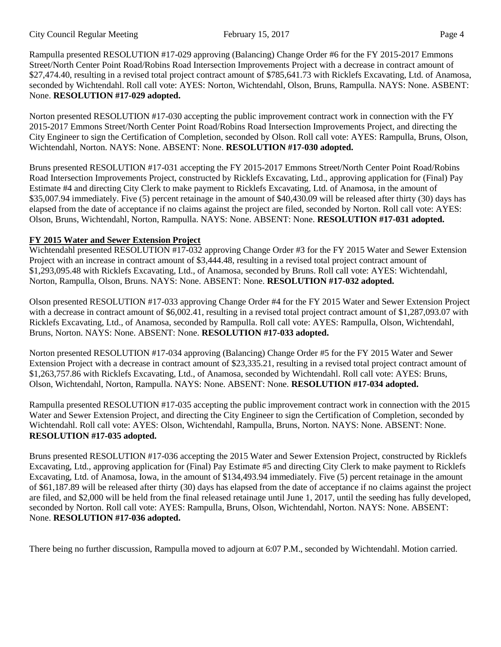Rampulla presented RESOLUTION #17-029 approving (Balancing) Change Order #6 for the FY 2015-2017 Emmons Street/North Center Point Road/Robins Road Intersection Improvements Project with a decrease in contract amount of \$27,474.40, resulting in a revised total project contract amount of \$785,641.73 with Ricklefs Excavating, Ltd. of Anamosa, seconded by Wichtendahl. Roll call vote: AYES: Norton, Wichtendahl, Olson, Bruns, Rampulla. NAYS: None. ASBENT: None. **RESOLUTION #17-029 adopted.** 

Norton presented RESOLUTION #17-030 accepting the public improvement contract work in connection with the FY 2015-2017 Emmons Street/North Center Point Road/Robins Road Intersection Improvements Project, and directing the City Engineer to sign the Certification of Completion, seconded by Olson. Roll call vote: AYES: Rampulla, Bruns, Olson, Wichtendahl, Norton. NAYS: None. ABSENT: None. **RESOLUTION #17-030 adopted.** 

Bruns presented RESOLUTION #17-031 accepting the FY 2015-2017 Emmons Street/North Center Point Road/Robins Road Intersection Improvements Project, constructed by Ricklefs Excavating, Ltd., approving application for (Final) Pay Estimate #4 and directing City Clerk to make payment to Ricklefs Excavating, Ltd. of Anamosa, in the amount of \$35,007.94 immediately. Five (5) percent retainage in the amount of \$40,430.09 will be released after thirty (30) days has elapsed from the date of acceptance if no claims against the project are filed, seconded by Norton. Roll call vote: AYES: Olson, Bruns, Wichtendahl, Norton, Rampulla. NAYS: None. ABSENT: None. **RESOLUTION #17-031 adopted.**

# **FY 2015 Water and Sewer Extension Project**

Wichtendahl presented RESOLUTION #17-032 approving Change Order #3 for the FY 2015 Water and Sewer Extension Project with an increase in contract amount of \$3,444.48, resulting in a revised total project contract amount of \$1,293,095.48 with Ricklefs Excavating, Ltd., of Anamosa, seconded by Bruns. Roll call vote: AYES: Wichtendahl, Norton, Rampulla, Olson, Bruns. NAYS: None. ABSENT: None. **RESOLUTION #17-032 adopted.** 

Olson presented RESOLUTION #17-033 approving Change Order #4 for the FY 2015 Water and Sewer Extension Project with a decrease in contract amount of \$6,002.41, resulting in a revised total project contract amount of \$1,287,093.07 with Ricklefs Excavating, Ltd., of Anamosa, seconded by Rampulla. Roll call vote: AYES: Rampulla, Olson, Wichtendahl, Bruns, Norton. NAYS: None. ABSENT: None. **RESOLUTION #17-033 adopted.** 

Norton presented RESOLUTION #17-034 approving (Balancing) Change Order #5 for the FY 2015 Water and Sewer Extension Project with a decrease in contract amount of \$23,335.21, resulting in a revised total project contract amount of \$1,263,757.86 with Ricklefs Excavating, Ltd., of Anamosa, seconded by Wichtendahl. Roll call vote: AYES: Bruns, Olson, Wichtendahl, Norton, Rampulla. NAYS: None. ABSENT: None. **RESOLUTION #17-034 adopted.** 

Rampulla presented RESOLUTION #17-035 accepting the public improvement contract work in connection with the 2015 Water and Sewer Extension Project, and directing the City Engineer to sign the Certification of Completion, seconded by Wichtendahl. Roll call vote: AYES: Olson, Wichtendahl, Rampulla, Bruns, Norton. NAYS: None. ABSENT: None. **RESOLUTION #17-035 adopted.** 

Bruns presented RESOLUTION #17-036 accepting the 2015 Water and Sewer Extension Project, constructed by Ricklefs Excavating, Ltd., approving application for (Final) Pay Estimate #5 and directing City Clerk to make payment to Ricklefs Excavating, Ltd. of Anamosa, Iowa, in the amount of \$134,493.94 immediately. Five (5) percent retainage in the amount of \$61,187.89 will be released after thirty (30) days has elapsed from the date of acceptance if no claims against the project are filed, and \$2,000 will be held from the final released retainage until June 1, 2017, until the seeding has fully developed, seconded by Norton. Roll call vote: AYES: Rampulla, Bruns, Olson, Wichtendahl, Norton. NAYS: None. ABSENT: None. **RESOLUTION #17-036 adopted.** 

There being no further discussion, Rampulla moved to adjourn at 6:07 P.M., seconded by Wichtendahl. Motion carried.